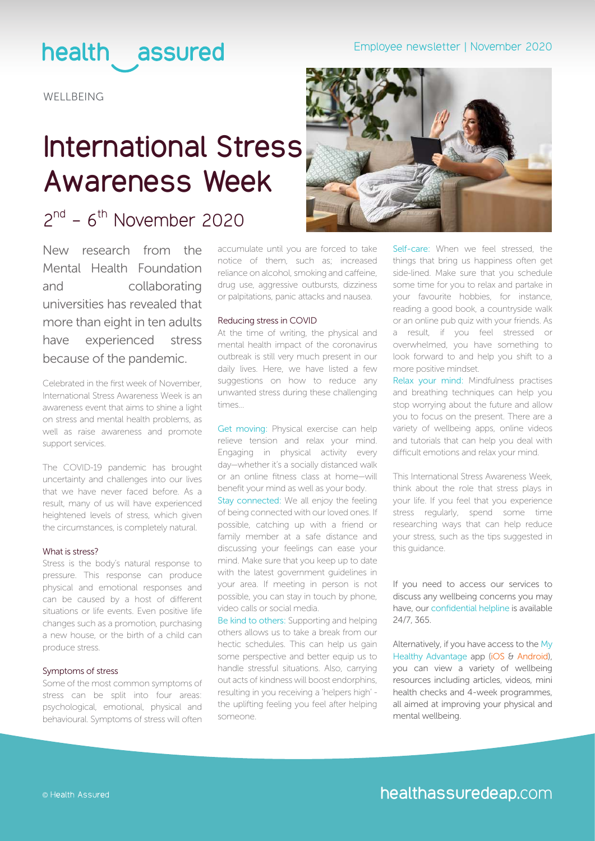## Employee newsletter | November 2020

## health assured

**WELLBEING** 

## **International Stress Awareness Week**

## $2<sup>nd</sup>$  - 6<sup>th</sup> November 2020

New research from the Mental Health Foundation and collaborating universities has revealed that more than eight in ten adults have experienced stress because of the pandemic.

Celebrated in the first week of November, International Stress Awareness Week is an awareness event that aims to shine a light on stress and mental health problems, as well as raise awareness and promote support services.

The COVID-19 pandemic has brought uncertainty and challenges into our lives that we have never faced before. As a result, many of us will have experienced heightened levels of stress, which given the circumstances, is completely natural.

### What is stress?

Stress is the body's natural response to pressure. This response can produce physical and emotional responses and can be caused by a host of different situations or life events. Even positive life changes such as a promotion, purchasing a new house, or the birth of a child can produce stress.

#### Symptoms of stress

Some of the most common symptoms of stress can be split into four areas: psychological, emotional, physical and behavioural. Symptoms of stress will often accumulate until you are forced to take notice of them, such as; increased reliance on alcohol, smoking and caffeine, drug use, aggressive outbursts, dizziness or palpitations, panic attacks and nausea.

#### Reducing stress in COVID

At the time of writing, the physical and mental health impact of the coronavirus outbreak is still very much present in our daily lives. Here, we have listed a few suggestions on how to reduce any unwanted stress during these challenging times...

Get moving: Physical exercise can help relieve tension and relax your mind. Engaging in physical activity every day—whether it's a socially distanced walk or an online fitness class at home—will benefit your mind as well as your body.

Stay connected: We all enjoy the feeling of being connected with our loved ones. If possible, catching up with a friend or family member at a safe distance and discussing your feelings can ease your mind. Make sure that you keep up to date with the latest government guidelines in your area. If meeting in person is not possible, you can stay in touch by phone, video calls or social media.

Be kind to others: Supporting and helping others allows us to take a break from our hectic schedules. This can help us gain some perspective and better equip us to handle stressful situations. Also, carrying out acts of kindness will boost endorphins, resulting in you receiving a 'helpers high' the uplifting feeling you feel after helping someone.



Self-care: When we feel stressed, the things that bring us happiness often get side-lined. Make sure that you schedule some time for you to relax and partake in your favourite hobbies, for instance, reading a good book, a countryside walk or an online pub quiz with your friends. As a result, if you feel stressed or overwhelmed, you have something to look forward to and help you shift to a more positive mindset.

Relax your mind: Mindfulness practises and breathing techniques can help you stop worrying about the future and allow you to focus on the present. There are a variety of wellbeing apps, online videos and tutorials that can help you deal with difficult emotions and relax your mind.

This International Stress Awareness Week, think about the role that stress plays in your life. If you feel that you experience stress regularly, spend some time researching ways that can help reduce your stress, such as the tips suggested in this guidance.

### If you need to access our services to discuss any wellbeing concerns you may have, our confidential helpline is available 24/7, 365.

Alternatively, if you have access to the My Healthy Advantage app ([iOS](https://www.mind.org.uk/media-a/5929/the-mental-health-emergency_a4_final.pdf) & [Android](https://play.google.com/store/apps/details?id=com.healthassured.app)), you can view a variety of wellbeing resources including articles, videos, mini health checks and 4-week programmes, all aimed at improving your physical and mental wellbeing.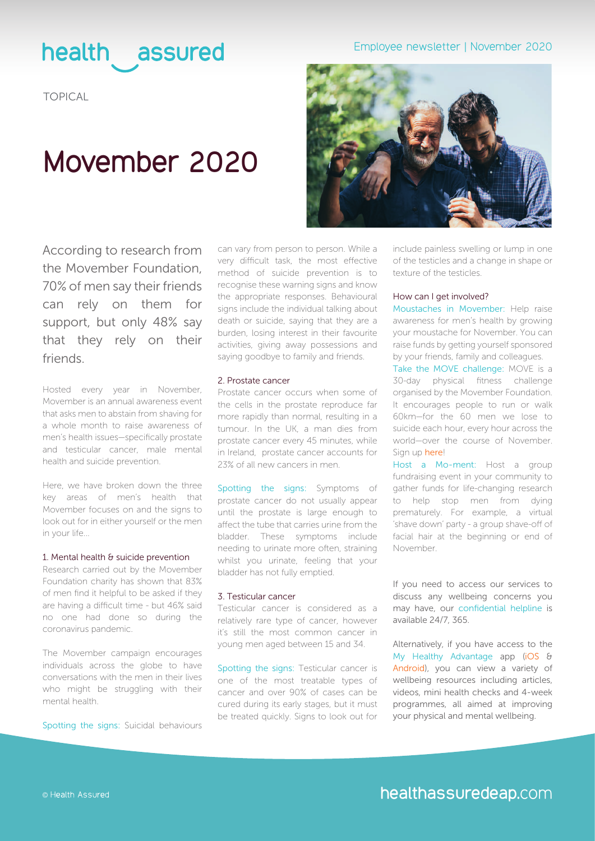## health assured

TOPICAL

## **Movember 2020**

According to research from the Movember Foundation, 70% of men say their friends can rely on them for support, but only 48% say that they rely on their friends.

Hosted every year in November, Movember is an annual awareness event that asks men to abstain from shaving for a whole month to raise awareness of men's health issues—specifically prostate and testicular cancer, male mental health and suicide prevention.

Here, we have broken down the three key areas of men's health that Movember focuses on and the signs to look out for in either yourself or the men in your life...

#### 1. Mental health & suicide prevention

Research carried out by the Movember Foundation charity has shown that 83% of men find it helpful to be asked if they are having a difficult time - but 46% said no one had done so during the coronavirus pandemic.

The Movember campaign encourages individuals across the globe to have conversations with the men in their lives who might be struggling with their mental health.

Spotting the signs: Suicidal behaviours

can vary from person to person. While a very difficult task, the most effective method of suicide prevention is to recognise these warning signs and know the appropriate responses. Behavioural signs include the individual talking about death or suicide, saying that they are a burden, losing interest in their favourite activities, giving away possessions and saying goodbye to family and friends.

#### 2. Prostate cancer

Prostate cancer occurs when some of the cells in the prostate reproduce far more rapidly than normal, resulting in a tumour. In the UK, a man dies from prostate cancer every 45 minutes, while in Ireland, prostate cancer accounts for 23% of all new cancers in men.

Spotting the signs: Symptoms of prostate cancer do not usually appear until the prostate is large enough to affect the tube that carries urine from the bladder. These symptoms include needing to urinate more often, straining whilst you urinate, feeling that your bladder has not fully emptied.

#### 3. Testicular cancer

Testicular cancer is considered as a relatively rare type of cancer, however it's still the most common cancer in young men aged between 15 and 34.

Spotting the signs: Testicular cancer is one of the most treatable types of cancer and over 90% of cases can be cured during its early stages, but it must be treated quickly. Signs to look out for

## Employee newsletter | November 2020



include painless swelling or lump in one of the testicles and a change in shape or texture of the testicles.

#### How can I get involved?

Moustaches in Movember: Help raise awareness for men's health by growing your moustache for November. You can raise funds by getting yourself sponsored by your friends, family and colleagues.

Take the MOVE challenge: MOVE is a 30-day physical fitness challenge organised by the Movember Foundation. It encourages people to run or walk 60km—for the 60 men we lose to suicide each hour, every hour across the world—over the course of November. Sign up [here](https://uk.movember.com/register?prod_intent=move&mocamp=m)!

Host a Mo-ment: Host a group fundraising event in your community to gather funds for life-changing research to help stop men from dying prematurely. For example, a virtual 'shave down' party - a group shave-off of facial hair at the beginning or end of November.

If you need to access our services to discuss any wellbeing concerns you may have, our confidential helpline is available 24/7, 365.

Alternatively, if you have access to the My Healthy Advantage app [\(iOS](https://www.mind.org.uk/media-a/5929/the-mental-health-emergency_a4_final.pdf) & [Android](https://play.google.com/store/apps/details?id=com.healthassured.app)), you can view a variety of wellbeing resources including articles, videos, mini health checks and 4-week programmes, all aimed at improving your physical and mental wellbeing.